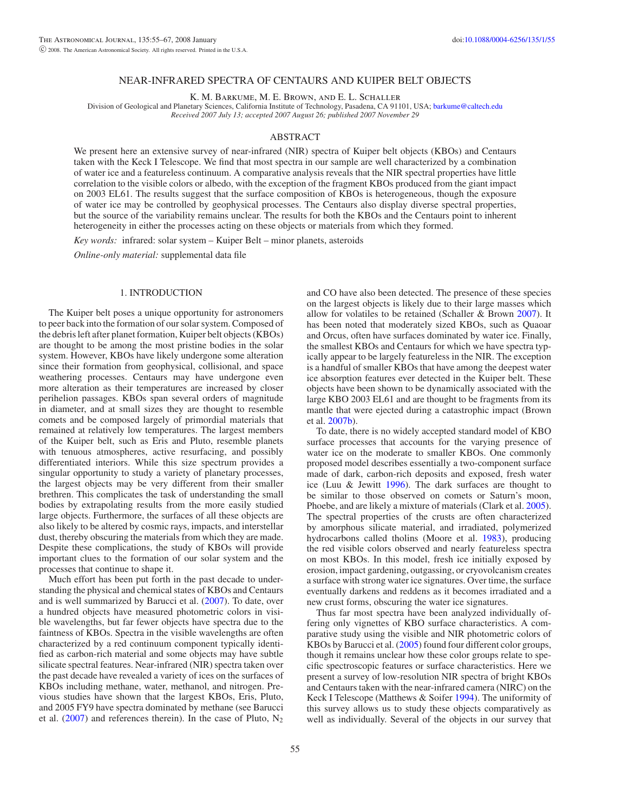#### NEAR-INFRARED SPECTRA OF CENTAURS AND KUIPER BELT OBJECTS

K. M. Barkume, M. E. Brown, and E. L. Schaller

Division of Geological and Planetary Sciences, California Institute of Technology, Pasadena, CA 91101, USA; [barkume@caltech.edu](mailto:barkume@caltech.edu) *Received 2007 July 13; accepted 2007 August 26; published 2007 November 29*

#### ABSTRACT

We present here an extensive survey of near-infrared (NIR) spectra of Kuiper belt objects (KBOs) and Centaurs taken with the Keck I Telescope. We find that most spectra in our sample are well characterized by a combination of water ice and a featureless continuum. A comparative analysis reveals that the NIR spectral properties have little correlation to the visible colors or albedo, with the exception of the fragment KBOs produced from the giant impact on 2003 EL61. The results suggest that the surface composition of KBOs is heterogeneous, though the exposure of water ice may be controlled by geophysical processes. The Centaurs also display diverse spectral properties, but the source of the variability remains unclear. The results for both the KBOs and the Centaurs point to inherent heterogeneity in either the processes acting on these objects or materials from which they formed.

*Key words:* infrared: solar system – Kuiper Belt – minor planets, asteroids

*Online-only material:* supplemental data file

### 1. INTRODUCTION

The Kuiper belt poses a unique opportunity for astronomers to peer back into the formation of our solar system. Composed of the debris left after planet formation, Kuiper belt objects (KBOs) are thought to be among the most pristine bodies in the solar system. However, KBOs have likely undergone some alteration since their formation from geophysical, collisional, and space weathering processes. Centaurs may have undergone even more alteration as their temperatures are increased by closer perihelion passages. KBOs span several orders of magnitude in diameter, and at small sizes they are thought to resemble comets and be composed largely of primordial materials that remained at relatively low temperatures. The largest members of the Kuiper belt, such as Eris and Pluto, resemble planets with tenuous atmospheres, active resurfacing, and possibly differentiated interiors. While this size spectrum provides a singular opportunity to study a variety of planetary processes, the largest objects may be very different from their smaller brethren. This complicates the task of understanding the small bodies by extrapolating results from the more easily studied large objects. Furthermore, the surfaces of all these objects are also likely to be altered by cosmic rays, impacts, and interstellar dust, thereby obscuring the materials from which they are made. Despite these complications, the study of KBOs will provide important clues to the formation of our solar system and the processes that continue to shape it.

Much effort has been put forth in the past decade to understanding the physical and chemical states of KBOs and Centaurs and is well summarized by Barucci et al. [\(2007\)](#page-12-0). To date, over a hundred objects have measured photometric colors in visible wavelengths, but far fewer objects have spectra due to the faintness of KBOs. Spectra in the visible wavelengths are often characterized by a red continuum component typically identified as carbon-rich material and some objects may have subtle silicate spectral features. Near-infrared (NIR) spectra taken over the past decade have revealed a variety of ices on the surfaces of KBOs including methane, water, methanol, and nitrogen. Previous studies have shown that the largest KBOs, Eris, Pluto, and 2005 FY9 have spectra dominated by methane (see Barucci et al.  $(2007)$  and references therein). In the case of Pluto, N<sub>2</sub>

and CO have also been detected. The presence of these species on the largest objects is likely due to their large masses which allow for volatiles to be retained (Schaller & Brown [2007\)](#page-12-1). It has been noted that moderately sized KBOs, such as Quaoar and Orcus, often have surfaces dominated by water ice. Finally, the smallest KBOs and Centaurs for which we have spectra typically appear to be largely featureless in the NIR. The exception is a handful of smaller KBOs that have among the deepest water ice absorption features ever detected in the Kuiper belt. These objects have been shown to be dynamically associated with the large KBO 2003 EL61 and are thought to be fragments from its mantle that were ejected during a catastrophic impact (Brown et al. [2007b\)](#page-12-2).

To date, there is no widely accepted standard model of KBO surface processes that accounts for the varying presence of water ice on the moderate to smaller KBOs. One commonly proposed model describes essentially a two-component surface made of dark, carbon-rich deposits and exposed, fresh water ice (Luu & Jewitt [1996\)](#page-12-3). The dark surfaces are thought to be similar to those observed on comets or Saturn's moon, Phoebe, and are likely a mixture of materials (Clark et al. [2005\)](#page-12-4). The spectral properties of the crusts are often characterized by amorphous silicate material, and irradiated, polymerized hydrocarbons called tholins (Moore et al. [1983\)](#page-12-5), producing the red visible colors observed and nearly featureless spectra on most KBOs. In this model, fresh ice initially exposed by erosion, impact gardening, outgassing, or cryovolcanism creates a surface with strong water ice signatures. Over time, the surface eventually darkens and reddens as it becomes irradiated and a new crust forms, obscuring the water ice signatures.

Thus far most spectra have been analyzed individually offering only vignettes of KBO surface characteristics. A comparative study using the visible and NIR photometric colors of KBOs by Barucci et al. [\(2005\)](#page-12-6) found four different color groups, though it remains unclear how these color groups relate to specific spectroscopic features or surface characteristics. Here we present a survey of low-resolution NIR spectra of bright KBOs and Centaurs taken with the near-infrared camera (NIRC) on the Keck I Telescope (Matthews & Soifer [1994\)](#page-12-7). The uniformity of this survey allows us to study these objects comparatively as well as individually. Several of the objects in our survey that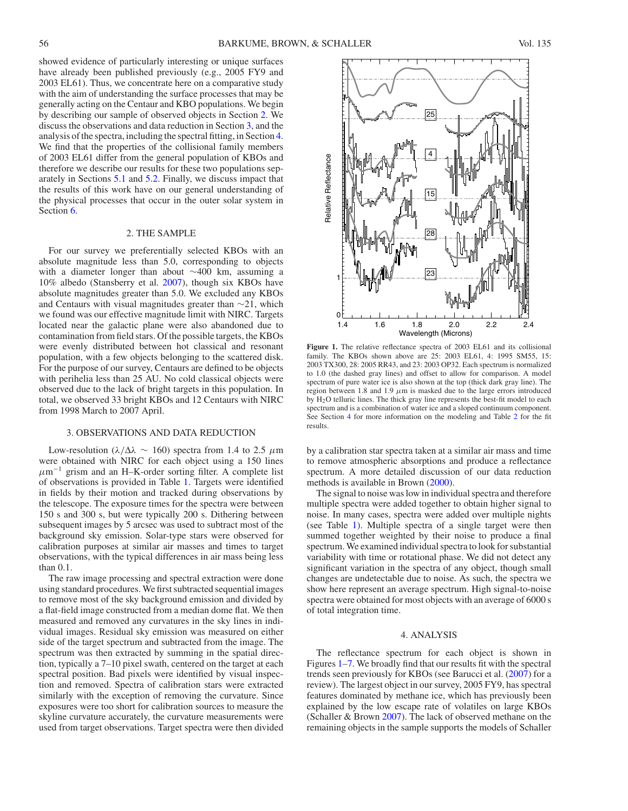showed evidence of particularly interesting or unique surfaces have already been published previously (e.g., 2005 FY9 and 2003 EL61). Thus, we concentrate here on a comparative study with the aim of understanding the surface processes that may be generally acting on the Centaur and KBO populations. We begin by describing our sample of observed objects in Section [2.](#page-1-0) We discuss the observations and data reduction in Section [3,](#page-1-1) and the analysis of the spectra, including the spectral fitting, in Section [4.](#page-1-2) We find that the properties of the collisional family members of 2003 EL61 differ from the general population of KBOs and therefore we describe our results for these two populations separately in Sections [5.1](#page-7-0) and [5.2.](#page-9-0) Finally, we discuss impact that the results of this work have on our general understanding of the physical processes that occur in the outer solar system in Section [6.](#page-11-0)

### 2. THE SAMPLE

<span id="page-1-0"></span>For our survey we preferentially selected KBOs with an absolute magnitude less than 5.0, corresponding to objects with a diameter longer than about ∼400 km, assuming a 10% albedo (Stansberry et al. [2007\)](#page-12-8), though six KBOs have absolute magnitudes greater than 5.0. We excluded any KBOs and Centaurs with visual magnitudes greater than ∼21, which we found was our effective magnitude limit with NIRC. Targets located near the galactic plane were also abandoned due to contamination from field stars. Of the possible targets, the KBOs were evenly distributed between hot classical and resonant population, with a few objects belonging to the scattered disk. For the purpose of our survey, Centaurs are defined to be objects with perihelia less than 25 AU. No cold classical objects were observed due to the lack of bright targets in this population. In total, we observed 33 bright KBOs and 12 Centaurs with NIRC from 1998 March to 2007 April.

### 3. OBSERVATIONS AND DATA REDUCTION

<span id="page-1-1"></span>Low-resolution (*λ/*∆*λ* ∼ 160) spectra from 1.4 to 2.5 *µ*m were obtained with NIRC for each object using a 150 lines  $\mu$ m<sup>-1</sup> grism and an H–K-order sorting filter. A complete list of observations is provided in Table [1.](#page-2-0) Targets were identified in fields by their motion and tracked during observations by the telescope. The exposure times for the spectra were between 150 s and 300 s, but were typically 200 s. Dithering between subsequent images by 5 arcsec was used to subtract most of the background sky emission. Solar-type stars were observed for calibration purposes at similar air masses and times to target observations, with the typical differences in air mass being less than 0.1.

The raw image processing and spectral extraction were done using standard procedures. We first subtracted sequential images to remove most of the sky background emission and divided by a flat-field image constructed from a median dome flat. We then measured and removed any curvatures in the sky lines in individual images. Residual sky emission was measured on either side of the target spectrum and subtracted from the image. The spectrum was then extracted by summing in the spatial direction, typically a 7–10 pixel swath, centered on the target at each spectral position. Bad pixels were identified by visual inspection and removed. Spectra of calibration stars were extracted similarly with the exception of removing the curvature. Since exposures were too short for calibration sources to measure the skyline curvature accurately, the curvature measurements were used from target observations. Target spectra were then divided



<span id="page-1-3"></span>**Figure 1.** The relative reflectance spectra of 2003 EL61 and its collisional family. The KBOs shown above are 25: 2003 EL61, 4: 1995 SM55, 15: 2003 TX300, 28: 2005 RR43, and 23: 2003 OP32. Each spectrum is normalized to 1.0 (the dashed gray lines) and offset to allow for comparison. A model spectrum of pure water ice is also shown at the top (thick dark gray line). The region between 1.8 and 1.9  $\mu$ m is masked due to the large errors introduced by H2O telluric lines. The thick gray line represents the best-fit model to each spectrum and is a combination of water ice and a sloped continuum component. See Section [4](#page-1-2) for more information on the modeling and Table [2](#page-6-0) for the fit results.

by a calibration star spectra taken at a similar air mass and time to remove atmospheric absorptions and produce a reflectance spectrum. A more detailed discussion of our data reduction methods is available in Brown [\(2000\)](#page-12-9).

The signal to noise was low in individual spectra and therefore multiple spectra were added together to obtain higher signal to noise. In many cases, spectra were added over multiple nights (see Table [1\)](#page-2-0). Multiple spectra of a single target were then summed together weighted by their noise to produce a final spectrum. We examined individual spectra to look for substantial variability with time or rotational phase. We did not detect any significant variation in the spectra of any object, though small changes are undetectable due to noise. As such, the spectra we show here represent an average spectrum. High signal-to-noise spectra were obtained for most objects with an average of 6000 s of total integration time.

### 4. ANALYSIS

<span id="page-1-2"></span>The reflectance spectrum for each object is shown in Figures [1–](#page-1-3)[7.](#page-7-1) We broadly find that our results fit with the spectral trends seen previously for KBOs (see Barucci et al. [\(2007\)](#page-12-0) for a review). The largest object in our survey, 2005 FY9, has spectral features dominated by methane ice, which has previously been explained by the low escape rate of volatiles on large KBOs (Schaller & Brown [2007\)](#page-12-1). The lack of observed methane on the remaining objects in the sample supports the models of Schaller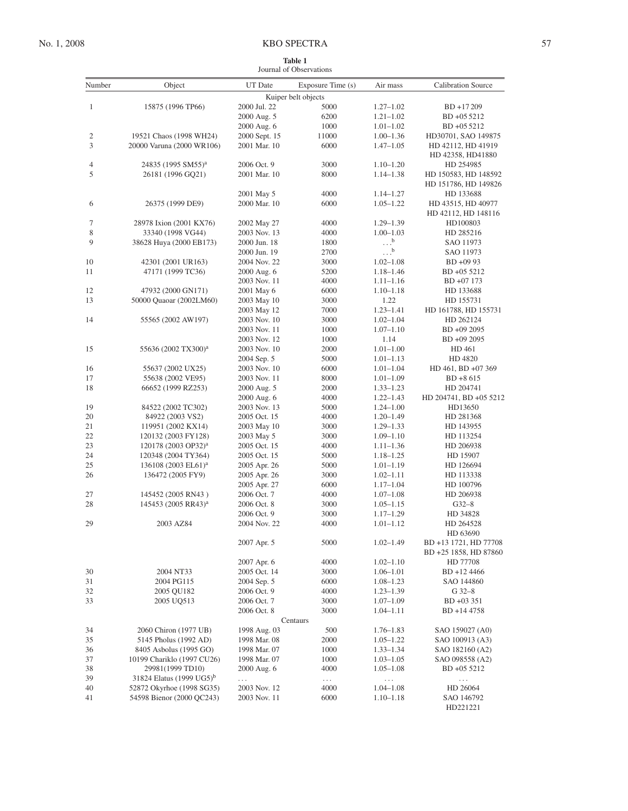# No. 1, 2008 KBO SPECTRA 57

<span id="page-2-0"></span>

| <b>Table 1</b>          |  |
|-------------------------|--|
| Journal of Observations |  |

| Number       | Object                                                 | UT Date                      | Exposure Time (s)   | Air mass                       | <b>Calibration Source</b> |
|--------------|--------------------------------------------------------|------------------------------|---------------------|--------------------------------|---------------------------|
|              |                                                        |                              | Kuiper belt objects |                                |                           |
| $\mathbf{1}$ | 15875 (1996 TP66)                                      | 2000 Jul. 22                 | 5000                | $1.27 - 1.02$                  | BD +17209                 |
|              |                                                        | 2000 Aug. 5                  | 6200                | $1.21 - 1.02$                  | BD +05 5212               |
|              |                                                        | 2000 Aug. 6                  | 1000                | $1.01 - 1.02$                  | BD +05 5212               |
| 2            | 19521 Chaos (1998 WH24)                                | 2000 Sept. 15                | 11000               | $1.00 - 1.36$                  | HD30701, SAO 149875       |
| 3            | 20000 Varuna (2000 WR106)                              | 2001 Mar. 10                 | 6000                | $1.47 - 1.05$                  | HD 42112, HD 41919        |
|              |                                                        |                              |                     |                                | HD 42358, HD41880         |
| 4            | 24835 (1995 SM55) <sup>a</sup>                         | 2006 Oct. 9                  | 3000                | $1.10 - 1.20$                  | HD 254985                 |
| 5            | 26181 (1996 GQ21)                                      | 2001 Mar. 10                 | 8000                | $1.14 - 1.38$                  | HD 150583, HD 148592      |
|              |                                                        |                              |                     |                                | HD 151786, HD 149826      |
|              |                                                        | 2001 May 5                   | 4000                | $1.14 - 1.27$                  | HD 133688                 |
| 6            | 26375 (1999 DE9)                                       | 2000 Mar. 10                 | 6000                | $1.05 - 1.22$                  | HD 43515, HD 40977        |
|              |                                                        |                              |                     |                                | HD 42112, HD 148116       |
| 7            | 28978 Ixion (2001 KX76)                                | 2002 May 27                  | 4000                | $1.29 - 1.39$                  | HD100803                  |
| 8            | 33340 (1998 VG44)                                      | 2003 Nov. 13                 | 4000                | $1.00 - 1.03$                  | HD 285216                 |
| 9            | 38628 Huya (2000 EB173)                                | 2000 Jun. 18                 | 1800                | $\cdot \cdot \cdot^b$          | SAO 11973                 |
|              |                                                        | 2000 Jun. 19                 | 2700                | $\ldots$ <sup>b</sup>          | SAO 11973                 |
| 10           | 42301 (2001 UR163)                                     | 2004 Nov. 22                 | 3000                | $1.02 - 1.08$                  | $BD +0993$                |
| 11           | 47171 (1999 TC36)                                      | 2000 Aug. 6                  | 5200                | $1.18 - 1.46$                  | BD +05 5212               |
|              |                                                        | 2003 Nov. 11                 | 4000                | $1.11 - 1.16$                  | BD +07 173                |
| 12           | 47932 (2000 GN171)                                     | 2001 May 6                   | 6000                | $1.10 - 1.18$                  | HD 133688                 |
| 13           | 50000 Quaoar (2002LM60)                                | 2003 May 10                  | 3000                | 1.22                           | HD 155731                 |
|              |                                                        | 2003 May 12                  | 7000                | $1.23 - 1.41$                  | HD 161788, HD 155731      |
| 14           | 55565 (2002 AW197)                                     | 2003 Nov. 10                 | 3000                | $1.02 - 1.04$                  | HD 262124                 |
|              |                                                        | 2003 Nov. 11                 | 1000                | $1.07 - 1.10$                  | BD +09 2095               |
|              |                                                        | 2003 Nov. 12                 | 1000                | 1.14                           | BD +09 2095               |
| 15           | 55636 (2002 TX300) <sup>a</sup>                        | 2003 Nov. 10                 | 2000                | $1.01 - 1.00$                  | HD 461                    |
|              |                                                        | 2004 Sep. 5                  | 5000                | $1.01 - 1.13$                  | HD 4820                   |
| 16           | 55637 (2002 UX25)                                      | 2003 Nov. 10                 | 6000                | $1.01 - 1.04$                  | HD 461, BD +07 369        |
| 17           | 55638 (2002 VE95)                                      | 2003 Nov. 11                 | 8000                | $1.01 - 1.09$                  | $BD + 8615$               |
| 18           | 66652 (1999 RZ253)                                     | 2000 Aug. 5                  | 2000                | $1.33 - 1.23$                  | HD 204741                 |
|              |                                                        | 2000 Aug. 6                  | 4000                | $1.22 - 1.43$                  | HD 204741, BD +05 5212    |
| 19           | 84522 (2002 TC302)                                     | 2003 Nov. 13                 | 5000                | $1.24 - 1.00$                  | HD13650                   |
| 20           | 84922 (2003 VS2)                                       | 2005 Oct. 15                 | 4000                | $1.20 - 1.49$                  | HD 281368                 |
| 21           | 119951 (2002 KX14)                                     | 2003 May 10                  | 3000                | $1.29 - 1.33$                  | HD 143955                 |
| 22           | 120132 (2003 FY128)                                    | 2003 May 5                   | 3000                | $1.09 - 1.10$                  | HD 113254                 |
| 23           | 120178 (2003 OP32) <sup>a</sup>                        | 2005 Oct. 15                 | 4000                | $1.11 - 1.36$                  | HD 206938                 |
| 24           | 120348 (2004 TY364)                                    | 2005 Oct. 15                 | 5000                | $1.18 - 1.25$                  | HD 15907                  |
| 25           | 136108 (2003 EL61) <sup>a</sup>                        | 2005 Apr. 26                 | 5000                | $1.01 - 1.19$                  | HD 126694                 |
| 26           | 136472 (2005 FY9)                                      | 2005 Apr. 26                 | 3000                | $1.02 - 1.11$                  | HD 113338                 |
|              |                                                        | 2005 Apr. 27                 | 6000                | $1.17 - 1.04$                  | HD 100796                 |
| 27           | 145452 (2005 RN43)                                     | 2006 Oct. 7                  | 4000                | $1.07 - 1.08$                  | HD 206938                 |
| 28           | 145453 (2005 RR43) <sup>a</sup>                        | 2006 Oct. 8                  | 3000                | $1.05 - 1.15$                  | $G32-8$                   |
|              |                                                        | 2006 Oct. 9                  | 3000                | $1.17 - 1.29$                  | HD 34828                  |
| 29           | 2003 AZ84                                              | 2004 Nov. 22                 | 4000                | $1.01 - 1.12$                  | HD 264528                 |
|              |                                                        |                              |                     |                                | HD 63690                  |
|              |                                                        | 2007 Apr. 5                  | 5000                | $1.02 - 1.49$                  | BD +13 1721, HD 77708     |
|              |                                                        |                              |                     |                                | BD +25 1858, HD 87860     |
|              |                                                        | 2007 Apr. 6                  | 4000                | $1.02 - 1.10$                  | HD 77708                  |
| 30           | 2004 NT33                                              | 2005 Oct. 14                 | 3000                | $1.06 - 1.01$                  | BD +12 4466               |
| 31           | 2004 PG115                                             | 2004 Sep. 5                  | 6000                | $1.08 - 1.23$                  | SAO 144860                |
| 32           | 2005 QU182                                             | 2006 Oct. 9                  | 4000                | $1.23 - 1.39$                  | $G$ 32-8                  |
| 33           | 2005 UQ513                                             | 2006 Oct. 7                  | 3000                | $1.07 - 1.09$                  | $BD + 03351$              |
|              |                                                        | 2006 Oct. 8                  | 3000                | $1.04 - 1.11$                  | BD +14 4758               |
|              |                                                        |                              | Centaurs            |                                |                           |
| 34           | 2060 Chiron (1977 UB)                                  | 1998 Aug. 03                 | 500                 | $1.76 - 1.83$                  | SAO 159027 (A0)           |
| 35           | 5145 Pholus (1992 AD)                                  | 1998 Mar. 08                 | 2000                | $1.05 - 1.22$                  | SAO 100913 (A3)           |
| 36           | 8405 Asbolus (1995 GO)                                 | 1998 Mar. 07                 | 1000                | $1.33 - 1.34$                  | SAO 182160 (A2)           |
| 37           | 10199 Chariklo (1997 CU26)                             | 1998 Mar. 07                 | 1000                | $1.03 - 1.05$                  | SAO 098558 (A2)           |
| 38           | 29981(1999 TD10)                                       | 2000 Aug. 6                  | 4000                | $1.05 - 1.08$                  | BD +05 5212               |
| 39<br>40     | 31824 Elatus (1999 UG5) <sup>b</sup>                   | .                            | $\ldots$<br>4000    | $\cdots$                       | $\ldots$                  |
| 41           | 52872 Okyrhoe (1998 SG35)<br>54598 Bienor (2000 QC243) | 2003 Nov. 12<br>2003 Nov. 11 | 6000                | $1.04 - 1.08$<br>$1.10 - 1.18$ | HD 26064<br>SAO 146792    |
|              |                                                        |                              |                     |                                | HD221221                  |
|              |                                                        |                              |                     |                                |                           |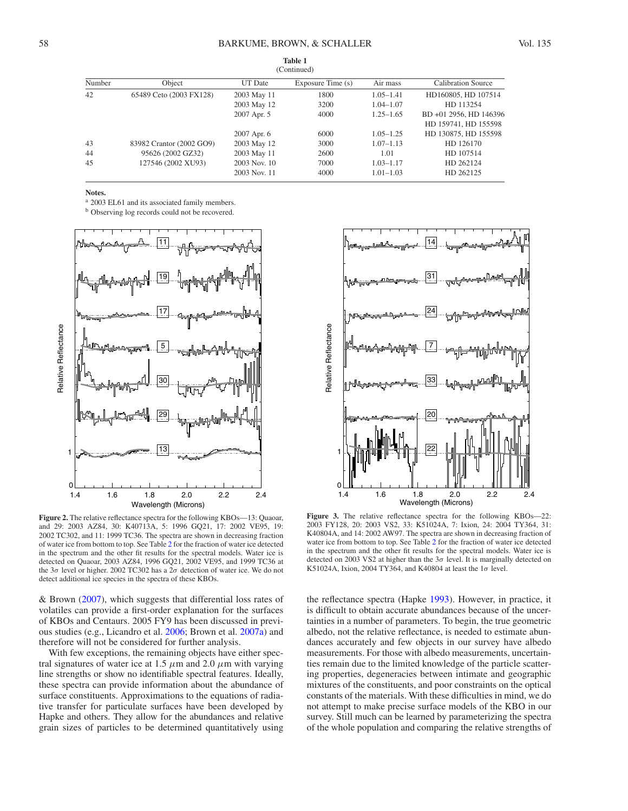|        | (Continued)              |                |                   |               |                           |  |  |  |  |  |
|--------|--------------------------|----------------|-------------------|---------------|---------------------------|--|--|--|--|--|
| Number | Object                   | <b>UT</b> Date | Exposure Time (s) | Air mass      | <b>Calibration Source</b> |  |  |  |  |  |
| 42     | 65489 Ceto (2003 FX128)  | 2003 May 11    | 1800              | $1.05 - 1.41$ | HD160805, HD 107514       |  |  |  |  |  |
|        |                          | 2003 May 12    | 3200              | $1.04 - 1.07$ | HD 113254                 |  |  |  |  |  |
|        |                          | 2007 Apr. 5    | 4000              | $1.25 - 1.65$ | BD +01 2956, HD 146396    |  |  |  |  |  |
|        |                          |                |                   |               | HD 159741, HD 155598      |  |  |  |  |  |
|        |                          | 2007 Apr. 6    | 6000              | $1.05 - 1.25$ | HD 130875, HD 155598      |  |  |  |  |  |
| 43     | 83982 Crantor (2002 GO9) | 2003 May 12    | 3000              | $1.07 - 1.13$ | HD 126170                 |  |  |  |  |  |
| 44     | 95626 (2002 GZ32)        | 2003 May 11    | 2600              | 1.01          | HD 107514                 |  |  |  |  |  |
| 45     | 127546 (2002 XU93)       | 2003 Nov. 10   | 7000              | $1.03 - 1.17$ | HD 262124                 |  |  |  |  |  |
|        |                          | 2003 Nov. 11   | 4000              | $1.01 - 1.03$ | HD 262125                 |  |  |  |  |  |

**Notes.**

a 2003 EL61 and its associated family members.

<sup>b</sup> Observing log records could not be recovered.



Figure 2. The relative reflectance spectra for the following KBOs-13: Quaoar, and 29: 2003 AZ84, 30: K40713A, 5: 1996 GQ21, 17: 2002 VE95, 19: 2002 TC302, and 11: 1999 TC36. The spectra are shown in decreasing fraction of water ice from bottom to top. See Table [2](#page-6-0) for the fraction of water ice detected in the spectrum and the other fit results for the spectral models. Water ice is detected on Quaoar, 2003 AZ84, 1996 GQ21, 2002 VE95, and 1999 TC36 at the 3*σ* level or higher. 2002 TC302 has a 2*σ* detection of water ice. We do not detect additional ice species in the spectra of these KBOs.

& Brown [\(2007\)](#page-12-1), which suggests that differential loss rates of volatiles can provide a first-order explanation for the surfaces of KBOs and Centaurs. 2005 FY9 has been discussed in previous studies (e.g., Licandro et al. [2006;](#page-12-10) Brown et al. [2007a\)](#page-12-11) and therefore will not be considered for further analysis.

With few exceptions, the remaining objects have either spectral signatures of water ice at 1.5  $\mu$ m and 2.0  $\mu$ m with varying line strengths or show no identifiable spectral features. Ideally, these spectra can provide information about the abundance of surface constituents. Approximations to the equations of radiative transfer for particulate surfaces have been developed by Hapke and others. They allow for the abundances and relative grain sizes of particles to be determined quantitatively using



**Figure 3.** The relative reflectance spectra for the following KBOs—22: 2003 FY128, 20: 2003 VS2, 33: K51024A, 7: Ixion, 24: 2004 TY364, 31: K40804A, and 14: 2002 AW97. The spectra are shown in decreasing fraction of water ice from bottom to top. See Table [2](#page-6-0) for the fraction of water ice detected in the spectrum and the other fit results for the spectral models. Water ice is detected on 2003 VS2 at higher than the 3*σ* level. It is marginally detected on K51024A, Ixion, 2004 TY364, and K40804 at least the 1*σ* level.

the reflectance spectra (Hapke [1993\)](#page-12-12). However, in practice, it is difficult to obtain accurate abundances because of the uncertainties in a number of parameters. To begin, the true geometric albedo, not the relative reflectance, is needed to estimate abundances accurately and few objects in our survey have albedo measurements. For those with albedo measurements, uncertainties remain due to the limited knowledge of the particle scattering properties, degeneracies between intimate and geographic mixtures of the constituents, and poor constraints on the optical constants of the materials. With these difficulties in mind, we do not attempt to make precise surface models of the KBO in our survey. Still much can be learned by parameterizing the spectra of the whole population and comparing the relative strengths of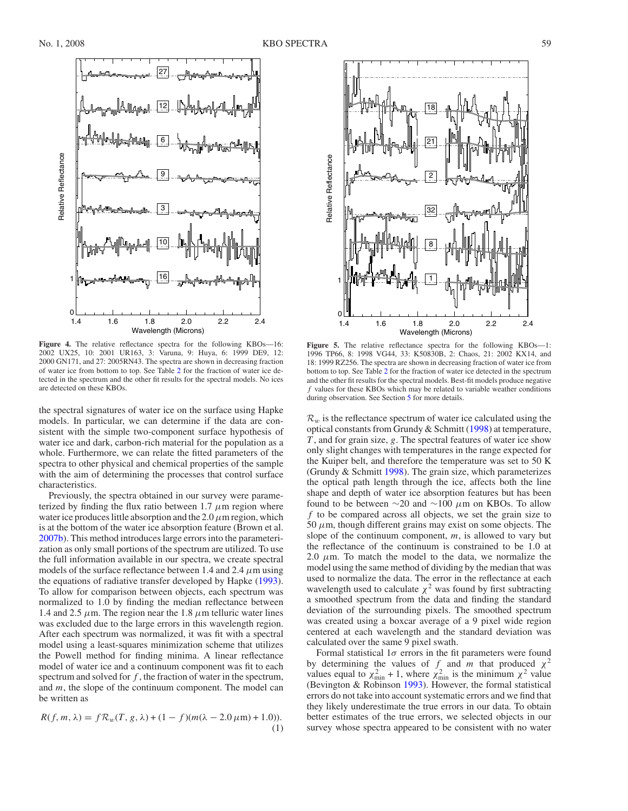

**Figure 4.** The relative reflectance spectra for the following KBOs—16: 2002 UX25, 10: 2001 UR163, 3: Varuna, 9: Huya, 6: 1999 DE9, 12: 2000 GN171, and 27: 2005RN43. The spectra are shown in decreasing fraction of water ice from bottom to top. See Table [2](#page-6-0) for the fraction of water ice detected in the spectrum and the other fit results for the spectral models. No ices are detected on these KBOs.

the spectral signatures of water ice on the surface using Hapke models. In particular, we can determine if the data are consistent with the simple two-component surface hypothesis of water ice and dark, carbon-rich material for the population as a whole. Furthermore, we can relate the fitted parameters of the spectra to other physical and chemical properties of the sample with the aim of determining the processes that control surface characteristics.

Previously, the spectra obtained in our survey were parameterized by finding the flux ratio between  $1.7 \mu m$  region where water ice produces little absorption and the  $2.0 \mu$ m region, which is at the bottom of the water ice absorption feature (Brown et al. [2007b\)](#page-12-2). This method introduces large errors into the parameterization as only small portions of the spectrum are utilized. To use the full information available in our spectra, we create spectral models of the surface reflectance between 1.4 and 2.4  $\mu$ m using the equations of radiative transfer developed by Hapke [\(1993\)](#page-12-12). To allow for comparison between objects, each spectrum was normalized to 1.0 by finding the median reflectance between 1.4 and 2.5  $\mu$ m. The region near the 1.8  $\mu$ m telluric water lines was excluded due to the large errors in this wavelength region. After each spectrum was normalized, it was fit with a spectral model using a least-squares minimization scheme that utilizes the Powell method for finding minima. A linear reflectance model of water ice and a continuum component was fit to each spectrum and solved for *f* , the fraction of water in the spectrum, and *m*, the slope of the continuum component. The model can be written as

$$
R(f, m, \lambda) = f \mathcal{R}_w(T, g, \lambda) + (1 - f)(m(\lambda - 2.0 \,\mu\text{m}) + 1.0)).
$$
\n(1)



**Figure 5.** The relative reflectance spectra for the following KBOs—1: 1996 TP66, 8: 1998 VG44, 33: K50830B, 2: Chaos, 21: 2002 KX14, and 18: 1999 RZ256. The spectra are shown in decreasing fraction of water ice from bottom to top. See Table [2](#page-6-0) for the fraction of water ice detected in the spectrum and the other fit results for the spectral models. Best-fit models produce negative *f* values for these KBOs which may be related to variable weather conditions during observation. See Section [5](#page-5-0) for more details.

 $\mathcal{R}_w$  is the reflectance spectrum of water ice calculated using the optical constants from Grundy & Schmitt [\(1998\)](#page-12-13) at temperature, *T* , and for grain size, *g*. The spectral features of water ice show only slight changes with temperatures in the range expected for the Kuiper belt, and therefore the temperature was set to 50 K (Grundy & Schmitt [1998\)](#page-12-13). The grain size, which parameterizes the optical path length through the ice, affects both the line shape and depth of water ice absorption features but has been found to be between ∼20 and ∼100 *µ*m on KBOs. To allow *f* to be compared across all objects, we set the grain size to 50  $\mu$ m, though different grains may exist on some objects. The slope of the continuum component, *m*, is allowed to vary but the reflectance of the continuum is constrained to be 1.0 at 2.0  $\mu$ m. To match the model to the data, we normalize the model using the same method of dividing by the median that was used to normalize the data. The error in the reflectance at each wavelength used to calculate  $\chi^2$  was found by first subtracting a smoothed spectrum from the data and finding the standard deviation of the surrounding pixels. The smoothed spectrum was created using a boxcar average of a 9 pixel wide region centered at each wavelength and the standard deviation was calculated over the same 9 pixel swath.

Formal statistical 1*σ* errors in the fit parameters were found by determining the values of *f* and *m* that produced  $\chi^2$ values equal to  $\chi^2_{\text{min}} + 1$ , where  $\chi^2_{\text{min}}$  is the minimum  $\chi^2$  value (Bevington & Robinson [1993\)](#page-12-14). However, the formal statistical errors do not take into account systematic errors and we find that they likely underestimate the true errors in our data. To obtain better estimates of the true errors, we selected objects in our survey whose spectra appeared to be consistent with no water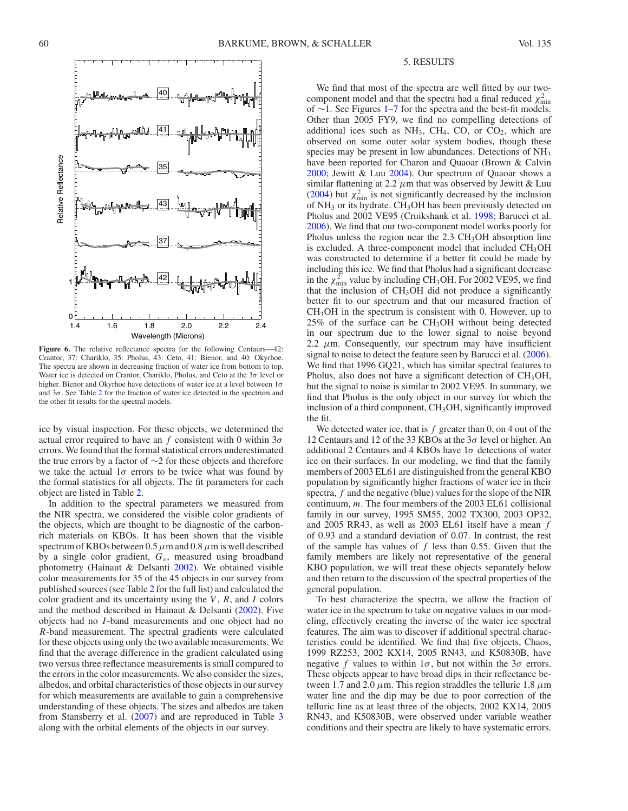

Figure 6. The relative reflectance spectra for the following Centaurs—42: Crantor, 37: Chariklo, 35: Pholus, 43: Ceto, 41: Bienor, and 40: Okyrhoe. The spectra are shown in decreasing fraction of water ice from bottom to top. Water ice is detected on Crantor, Chariklo, Pholus, and Ceto at the 3*σ* level or higher. Bienor and Okyrhoe have detections of water ice at a level between 1*σ* and 3*σ*. See Table [2](#page-6-0) for the fraction of water ice detected in the spectrum and the other fit results for the spectral models.

ice by visual inspection. For these objects, we determined the actual error required to have an *f* consistent with 0 within 3*σ* errors. We found that the formal statistical errors underestimated the true errors by a factor of ∼2 for these objects and therefore we take the actual  $1\sigma$  errors to be twice what was found by the formal statistics for all objects. The fit parameters for each object are listed in Table [2.](#page-6-0)

In addition to the spectral parameters we measured from the NIR spectra, we considered the visible color gradients of the objects, which are thought to be diagnostic of the carbonrich materials on KBOs. It has been shown that the visible spectrum of KBOs between 0.5*µ*m and 0.8*µ*m is well described by a single color gradient, *Gv*, measured using broadband photometry (Hainaut & Delsanti [2002\)](#page-12-15). We obtained visible color measurements for 35 of the 45 objects in our survey from published sources (see Table [2](#page-6-0) for the full list) and calculated the color gradient and its uncertainty using the *V* , *R*, and *I* colors and the method described in Hainaut & Delsanti [\(2002\)](#page-12-15). Five objects had no *I* -band measurements and one object had no *R*-band measurement. The spectral gradients were calculated for these objects using only the two available measurements. We find that the average difference in the gradient calculated using two versus three reflectance measurements is small compared to the errors in the color measurements. We also consider the sizes, albedos, and orbital characteristics of those objects in our survey for which measurements are available to gain a comprehensive understanding of these objects. The sizes and albedos are taken from Stansberry et al. [\(2007\)](#page-12-8) and are reproduced in Table [3](#page-8-0) along with the orbital elements of the objects in our survey.

# 5. RESULTS

<span id="page-5-0"></span>We find that most of the spectra are well fitted by our twocomponent model and that the spectra had a final reduced  $\chi^2_{\text{min}}$ of ∼1. See Figures [1–](#page-1-3)[7](#page-7-1) for the spectra and the best-fit models. Other than 2005 FY9, we find no compelling detections of additional ices such as  $NH_3$ , CH<sub>4</sub>, CO, or CO<sub>2</sub>, which are observed on some outer solar system bodies, though these species may be present in low abundances. Detections of NH3 have been reported for Charon and Quaoar (Brown & Calvin [2000;](#page-12-16) Jewitt & Luu [2004\)](#page-12-17). Our spectrum of Quaoar shows a similar flattening at 2.2  $\mu$ m that was observed by Jewitt & Luu [\(2004\)](#page-12-17) but  $\chi^2_{\text{min}}$  is not significantly decreased by the inclusion of NH3 or its hydrate. CH3OH has been previously detected on Pholus and 2002 VE95 (Cruikshank et al. [1998;](#page-12-18) Barucci et al. [2006\)](#page-12-19). We find that our two-component model works poorly for Pholus unless the region near the  $2.3 \text{ CH}_3$ OH absorption line is excluded. A three-component model that included CH<sub>3</sub>OH was constructed to determine if a better fit could be made by including this ice. We find that Pholus had a significant decrease in the  $\chi^2_{\text{min}}$  value by including CH<sub>3</sub>OH. For 2002 VE95, we find that the inclusion of CH3OH did not produce a significantly better fit to our spectrum and that our measured fraction of CH3OH in the spectrum is consistent with 0. However, up to  $25\%$  of the surface can be CH<sub>3</sub>OH without being detected in our spectrum due to the lower signal to noise beyond 2.2  $\mu$ m. Consequently, our spectrum may have insufficient signal to noise to detect the feature seen by Barucci et al. [\(2006\)](#page-12-19). We find that 1996 GQ21, which has similar spectral features to Pholus, also does not have a significant detection of CH<sub>3</sub>OH, but the signal to noise is similar to 2002 VE95. In summary, we find that Pholus is the only object in our survey for which the inclusion of a third component, CH3OH, significantly improved the fit.

We detected water ice, that is f greater than 0, on 4 out of the 12 Centaurs and 12 of the 33 KBOs at the 3*σ* level or higher. An additional 2 Centaurs and 4 KBOs have 1*σ* detections of water ice on their surfaces. In our modeling, we find that the family members of 2003 EL61 are distinguished from the general KBO population by significantly higher fractions of water ice in their spectra, *f* and the negative (blue) values for the slope of the NIR continuum, *m*. The four members of the 2003 EL61 collisional family in our survey, 1995 SM55, 2002 TX300, 2003 OP32, and 2005 RR43, as well as 2003 EL61 itself have a mean *f* of 0.93 and a standard deviation of 0.07. In contrast, the rest of the sample has values of *f* less than 0.55. Given that the family members are likely not representative of the general KBO population, we will treat these objects separately below and then return to the discussion of the spectral properties of the general population.

To best characterize the spectra, we allow the fraction of water ice in the spectrum to take on negative values in our modeling, effectively creating the inverse of the water ice spectral features. The aim was to discover if additional spectral characteristics could be identified. We find that five objects, Chaos, 1999 RZ253, 2002 KX14, 2005 RN43, and K50830B, have negative *f* values to within  $1\sigma$ , but not within the  $3\sigma$  errors. These objects appear to have broad dips in their reflectance between 1.7 and 2.0  $\mu$ m. This region straddles the telluric 1.8  $\mu$ m water line and the dip may be due to poor correction of the telluric line as at least three of the objects, 2002 KX14, 2005 RN43, and K50830B, were observed under variable weather conditions and their spectra are likely to have systematic errors.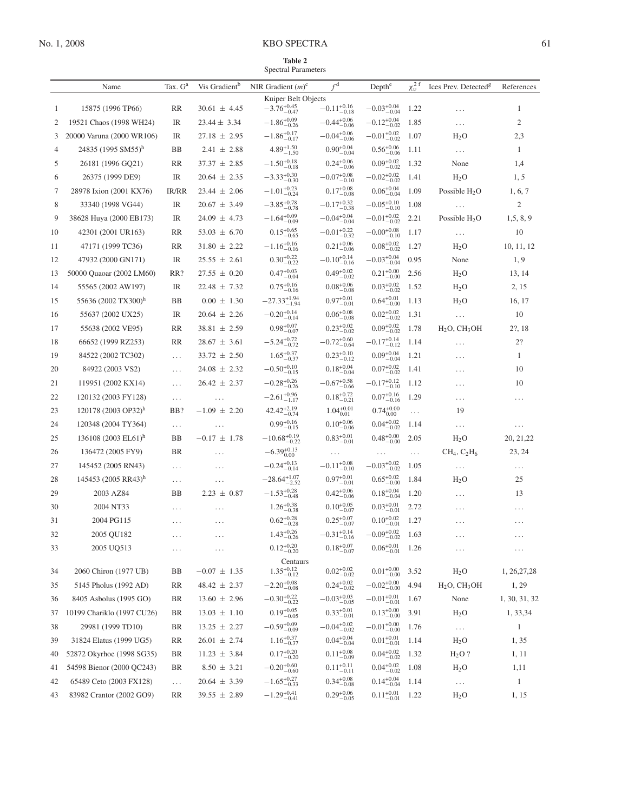# No. 1, 2008 KBO SPECTRA 61

<span id="page-6-0"></span>**Table 2** Spectral Parameters

|    | Name                            | Tax. G <sup>a</sup> | Vis Gradient <sup>b</sup>   | NIR Gradient $(m)^c$               | f <sup>d</sup>                      | Depth <sup>e</sup>                  | $\chi_v^2$ <sup>f</sup> | Ices Prev. Detected <sup>g</sup>     | References     |
|----|---------------------------------|---------------------|-----------------------------|------------------------------------|-------------------------------------|-------------------------------------|-------------------------|--------------------------------------|----------------|
|    |                                 |                     |                             | Kuiper Belt Objects                |                                     |                                     |                         |                                      |                |
| 1  | 15875 (1996 TP66)               | RR                  | $30.61 \pm 4.45$            | $-3.76^{+0.45}_{-0.47}$            | $-0.11_{-0.18}^{+0.16}$             | $-0.03_{-0.04}^{+0.04}$             | 1.22                    | $\ldots$                             | 1              |
| 2  | 19521 Chaos (1998 WH24)         | IR                  | $23.44 \pm 3.34$            | $-1.86\substack{+0.09 \\ -0.26}$   | $-0.44\substack{+0.06 \\ -0.06}$    | $-0.12_{-0.02}^{+0.04}$             | 1.85                    | $\cdots$                             | $\mathfrak{2}$ |
| 3  | 20000 Varuna (2000 WR106)       | IR                  | $27.18 \pm 2.95$            | $-1.86_{-0.17}^{+0.17}$            | $-0.04_{-0.06}^{+0.06}$             | $-0.01_{-0.02}^{+0.02}$             | 1.07                    | $H_2O$                               | 2,3            |
| 4  | 24835 (1995 SM55) <sup>h</sup>  | BB                  | $2.41 \pm 2.88$             | $4.89^{+1.50}_{-1.50}$             | $0.90_{-0.04}^{+0.04}$              | $0.56_{-0.06}^{+0.06}$              | 1.11                    | $\ldots$                             | 1              |
| 5  | 26181 (1996 GQ21)               | <b>RR</b>           | $37.37 \pm 2.85$            | $-1.50_{-0.18}^{+0.18}$            | $0.24_{-0.06}^{+0.06}$              | $0.09_{-0.02}^{+0.02}$              | 1.32                    | None                                 | 1,4            |
| 6  | 26375 (1999 DE9)                | IR                  | $20.64 \pm 2.35$            | $-3.33_{-0.30}^{+0.30}$            | $-0.07_{-0.10}^{+0.08}$             | $-0.02_{-0.02}^{+0.02}$             | 1.41                    | $H_2O$                               | 1, 5           |
| 7  | 28978 Ixion (2001 KX76)         | IR/RR               | $23.44 \pm 2.06$            | $-1.01_{-0.24}^{+0.23}$            | $0.17_{-0.08}^{+0.08}$              | $0.06_{-0.04}^{+0.04}$              | 1.09                    | Possible $H_2O$                      | 1, 6, 7        |
| 8  | 33340 (1998 VG44)               | IR                  | $20.67 \pm 3.49$            | $-3.85_{-0.78}^{+0.78}$            | $-0.17_{-0.38}^{+0.32}$             | $-0.05_{-0.10}^{+0.10}$             | 1.08                    | $\ldots$                             | 2              |
| 9  | 38628 Huya (2000 EB173)         | IR                  | $24.09 \pm 4.73$            | $-1.64_{-0.09}^{+0.09}$            | $-0.04_{-0.04}^{+0.04}$             | $-0.01_{-0.02}^{+0.02}$             | 2.21                    | Possible $H_2O$                      | 1, 5, 8, 9     |
| 10 | 42301 (2001 UR163)              | RR                  | $53.03 \pm 6.70$            | $0.15^{+0.65}_{-0.65}$             | $-0.01_{-0.32}^{+0.22}$             | $-0.00_{-0.10}^{+0.08}$             | 1.17                    | $\sim$ $\sim$ $\sim$                 | 10             |
| 11 | 47171 (1999 TC36)               | RR                  | $31.80 \pm 2.22$            | $-1.16_{-0.16}^{+0.16}$            | $0.21_{-0.06}^{+0.06}$              | $0.08_{-0.02}^{+0.02}$              | 1.27                    | $H_2O$                               | 10, 11, 12     |
| 12 | 47932 (2000 GN171)              | IR                  | $25.55 \pm 2.61$            | $0.30_{-0.22}^{+0.22}$             | $-0.10_{-0.16}^{+0.14}$             | $-0.03_{-0.04}^{+0.04}$             | 0.95                    | None                                 | 1, 9           |
| 13 | 50000 Quaoar (2002 LM60)        | RR?                 | $27.55 \pm 0.20$            | $0.47^{+0.03}_{-0.04}$             | $0.49_{-0.02}^{+0.02}$              | $0.21_{-0.00}^{+0.00}$              | 2.56                    | $H_2O$                               | 13, 14         |
| 14 | 55565 (2002 AW197)              | IR                  | $22.48 \pm 7.32$            | $0.75\substack{+0.16 \\ -0.16}$    | $0.08_{-0.08}^{+0.06}$              | $0.03_{-0.02}^{+0.02}$              | 1.52                    | $H_2O$                               | 2, 15          |
| 15 | 55636 (2002 TX300)h             | <b>BB</b>           | $0.00 \pm 1.30$             | $-27.33_{-1.94}^{+1.94}$           | $0.97^{+0.01}_{-0.01}$              | $0.64_{-0.00}^{+0.01}$              | 1.13                    | $H_2O$                               | 16, 17         |
| 16 | 55637 (2002 UX25)               | IR                  | $20.64 \pm 2.26$            | $-0.20\substack{+0.14 \\ -0.14}$   | $0.06\substack{+0.08 \\ -0.08}$     | $0.02\substack{+0.02\\-0.02}$       | 1.31                    | $\ldots$                             | 10             |
| 17 | 55638 (2002 VE95)               | RR                  | $38.81 \pm 2.59$            | $0.98^{+0.07}_{-0.07}$             | $0.23_{-0.02}^{+0.02}$              | $0.09_{-0.02}^{+0.02}$              | 1.78                    | H <sub>2</sub> O, CH <sub>3</sub> OH | 2?, 18         |
| 18 | 66652 (1999 RZ253)              | RR                  | $28.67 \pm 3.61$            | $-5.24_{-0.72}^{+0.72}$            | $-0.72_{-0.64}^{+0.60}$             | $-0.17_{-0.12}^{+0.14}$             | 1.14                    | .                                    | 2?             |
| 19 | 84522 (2002 TC302)              | $\ldots$            | $33.72 \pm 2.50$            | $1.65^{+0.37}_{-0.37}$             | $0.23_{-0.12}^{+0.10}$              | $0.09_{-0.04}^{+0.04}$              | 1.21                    | $\cdots$                             | 1              |
| 20 | 84922 (2003 VS2)                | $\ldots$            | $24.08 \pm 2.32$            | $-0.50^{+0.10}_{-0.15}$            | $0.18_{-0.04}^{+0.04}$              | $0.07_{-0.02}^{+0.02}$              | 1.41                    | .                                    | 10             |
| 21 | 119951 (2002 KX14)              | $\cdots$            | $26.42 \pm 2.37$            | $-0.28_{-0.26}^{+0.26}$            | $-0.67^{+0.58}_{-0.66}$             | $-0.17_{-0.10}^{+0.12}$             | 1.12                    | .                                    | 10             |
| 22 | 120132 (2003 FY128)             | $\ldots$            | $\cdots$                    | $-2.61_{-1.17}^{+0.96}$            | $0.18_{-0.21}^{+0.72}$              | $0.07\substack{+0.16 \\ -0.16}$     | 1.29                    | $\cdots$                             | .              |
| 23 | 120178 (2003 OP32) <sup>h</sup> | BB?                 | $-1.09 \pm 2.20$            | $42.42_{-0.74}^{+2.19}$            | $1.04\substack{+0.01 \\ -0.01}$     | $0.74\substack{+0.00\\0.00}$        | $\ldots$                | 19                                   |                |
| 24 | 120348 (2004 TY364)             | $\ldots$            | $\ldots$                    | $0.99_{-0.15}^{+0.16}$             | $0.10_{-0.06}^{+0.06}$              | $0.04_{-0.02}^{+0.02}$              | 1.14                    | $\sim$ $\sim$ $\sim$                 |                |
| 25 | 136108 (2003 EL61) <sup>h</sup> | BB                  | $-0.17 \pm 1.78$            | $-10.68_{-0.22}^{+0.19}$           | $0.83_{-0.01}^{+0.01}$              | $0.48^{+0.00}_{-0.00}$              | 2.05                    | $H_2O$                               | 20, 21, 22     |
| 26 | 136472 (2005 FY9)               | BR                  | $\cdots$                    | $-6.39_{0.00}^{+0.13}$             |                                     |                                     | $\cdots$                | $CH_4$ , $C_2H_6$                    | 23, 24         |
| 27 | 145452 (2005 RN43)              |                     |                             | $-0.24_{-0.14}^{+0.13}$            | $\ldots$<br>$-0.11_{-0.10}^{+0.08}$ | $\ldots$<br>$-0.03_{-0.02}^{+0.02}$ | 1.05                    |                                      |                |
| 28 | 145453 (2005 RR43) <sup>h</sup> | $\ldots$            | $\cdots$                    | $-28.64_{-2.52}^{+1.07}$           | $0.97_{-0.01}^{+0.01}$              | $0.65_{-0.00}^{+0.02}$              | 1.84                    | .<br>$H_2O$                          | .<br>25        |
|    | 2003 AZ84                       | $\ldots$<br>BB      | $\cdots$<br>$2.23 \pm 0.87$ |                                    |                                     |                                     |                         |                                      | 13             |
| 29 |                                 |                     |                             | $-1.53_{-0.48}^{+0.28}$            | $0.42_{-0.06}^{+0.06}$              | $0.18_{-0.04}^{+0.04}$              | 1.20                    | $\cdots$                             |                |
| 30 | 2004 NT33                       | .                   |                             | $1.26_{-0.38}^{+0.38}$             | $0.10_{-0.07}^{+0.05}$              | $0.03_{-0.01}^{+0.01}$              | 2.72                    |                                      |                |
| 31 | 2004 PG115                      | .                   | $\ldots$                    | $0.62^{+0.28}_{-0.28}$             | $0.25_{-0.07}^{+0.07}$              | $0.10^{+0.02}_{-0.01}$              | 1.27                    | .                                    | .              |
| 32 | 2005 QU182                      | $\cdots$            | $\cdots$                    | $1.43_{-0.26}^{+0.26}$             | $-0.31_{-0.16}^{+0.14}$             | $-0.09_{-0.02}^{+0.02}$             | 1.63                    | $\cdots$                             | $\cdots$       |
| 33 | 2005 UQ513                      | $\cdots$            | $\cdots$                    | $0.12_{-0.20}^{+0.20}$             | $0.18_{-0.07}^{+0.07}$              | $0.06_{-0.01}^{+0.01}$              | 1.26                    | .                                    |                |
| 34 | 2060 Chiron (1977 UB)           | BB                  | $-0.07 \pm 1.35$            | Centaurs<br>$1.35_{-0.12}^{+0.12}$ | $0.02\substack{+0.02\\-0.02}$       | $0.01_{-0.00}^{+0.00}$              | 3.52                    | H <sub>2</sub> O                     | 1, 26, 27, 28  |
| 35 | 5145 Pholus (1992 AD)           | RR                  | $48.42 \pm 2.37$            | $-2.20_{-0.08}^{+0.08}$            | $0.24_{-0.02}^{+0.02}$              | $-0.02_{-0.00}^{+0.00}$             | 4.94                    | H <sub>2</sub> O, CH <sub>3</sub> OH | 1, 29          |
| 36 | 8405 Asbolus (1995 GO)          | BR                  | $13.60 \pm 2.96$            | $-0.30_{-0.22}^{+0.22}$            | $-0.03_{-0.05}^{+0.03}$             | $-0.01_{-0.01}^{+0.01}$             | 1.67                    | None                                 | 1, 30, 31, 32  |
|    | 10199 Chariklo (1997 CU26)      | BR                  | $13.03 \pm 1.10$            |                                    |                                     | $0.13_{-0.00}^{+0.00}$              |                         |                                      |                |
| 37 |                                 |                     |                             | $0.19_{-0.05}^{+0.05}$             | $0.33_{-0.01}^{+0.01}$              |                                     | 3.91                    | $H_2O$                               | 1, 33, 34<br>1 |
| 38 | 29981 (1999 TD10)               | BR                  | $13.25 \pm 2.27$            | $-0.59\substack{+0.09 \\ -0.09}$   | $-0.04_{-0.02}^{+0.02}$             | $-0.01_{-0.00}^{+0.00}$             | 1.76                    | $\ldots$                             |                |
| 39 | 31824 Elatus (1999 UG5)         | <b>RR</b>           | $26.01 \pm 2.74$            | $1.16_{-0.37}^{+0.37}$             | $0.04_{-0.04}^{+0.04}$              | $0.01_{-0.01}^{+0.01}$              | 1.14                    | H <sub>2</sub> O                     | 1, 35          |
| 40 | 52872 Okyrhoe (1998 SG35)       | BR                  | $11.23 \pm 3.84$            | $0.17^{+0.20}_{-0.20}$             | $0.11_{-0.09}^{+0.08}$              | $0.04\substack{+0.02 \\ -0.02}$     | 1.32                    | $H_2O$ ?                             | 1, 11          |
| 41 | 54598 Bienor (2000 QC243)       | BR                  | $8.50 \pm 3.21$             | $-0.20^{+0.60}_{-0.60}$            | $0.11 \substack{+0.11 \\ -0.11}$    | $0.04\substack{+0.02 \\ -0.02}$     | 1.08                    | $H_2O$                               | 1,11           |
| 42 | 65489 Ceto (2003 FX128)         | $\ldots$            | $20.64 \pm 3.39$            | $-1.65_{-0.33}^{+0.27}$            | $0.34\substack{+0.08 \\ -0.08}$     | $0.14_{-0.04}^{+0.04}$              | 1.14                    | $\ldots$                             | $\mathbf{1}$   |
| 43 | 83982 Crantor (2002 GO9)        | RR                  | $39.55 \pm 2.89$            | $-1.29_{-0.41}^{+0.41}$            | $0.29_{-0.05}^{+0.06}$              | $0.11_{-0.01}^{+0.01}$              | 1.22                    | H <sub>2</sub> O                     | 1, 15          |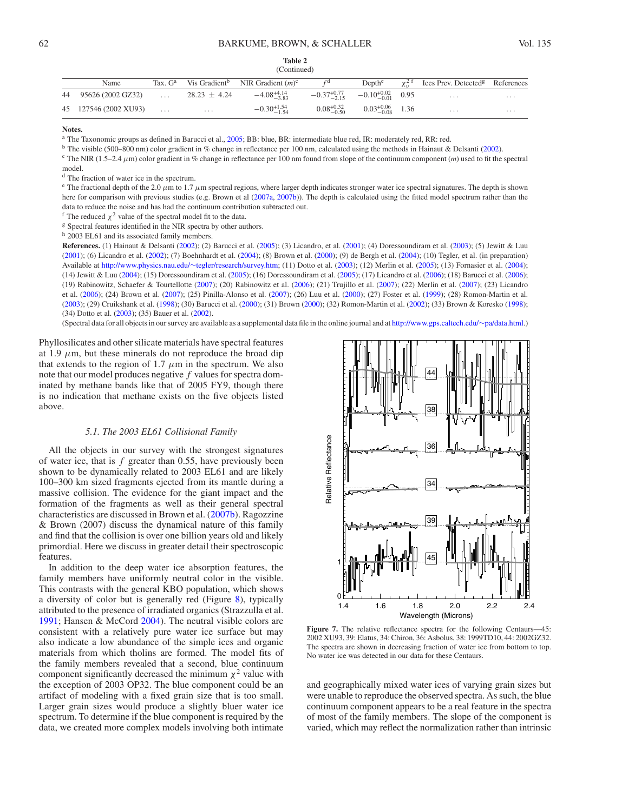| Table 2     |
|-------------|
| (Continued) |

| Name                  |                  | Tax. $G^a$ Vis Gradient <sup>b</sup> NIR Gradient $(m)^c$ |                                                      |                                                    | Depth <sup>e</sup> $\chi^{2 \text{ f}}$ Ices Prev. Detected <sup>g</sup> References |          |
|-----------------------|------------------|-----------------------------------------------------------|------------------------------------------------------|----------------------------------------------------|-------------------------------------------------------------------------------------|----------|
| 44 95626 (2002 GZ32)  | $28.23 \pm 4.24$ | $-4.08_{-3.83}^{+4.14}$                                   | $-0.37^{+0.77}_{-2.15}$ $-0.10^{+0.02}_{-0.01}$ 0.95 |                                                    | $\cdots$                                                                            | $\cdots$ |
| 45 127546 (2002 XU93) | $\cdots$         | $-0.30^{+1.54}_{-1.54}$                                   |                                                      | $0.08^{+0.32}_{-0.50}$ $0.03^{+0.06}_{-0.08}$ 1.36 | $\cdots$                                                                            | $\cdots$ |

**Notes.**

<sup>a</sup> The Taxonomic groups as defined in Barucci et al., [2005;](#page-12-6) BB: blue, BR: intermediate blue red, IR: moderately red, RR: red.

<sup>b</sup> The visible (500–800 nm) color gradient in % change in reflectance per 100 nm, calculated using the methods in Hainaut & Delsanti [\(2002\)](#page-12-15).

<sup>c</sup> The NIR (1.5–2.4  $\mu$ m) color gradient in % change in reflectance per 100 nm found from slope of the continuum component (*m*) used to fit the spectral model.

<sup>d</sup> The fraction of water ice in the spectrum.

<sup>e</sup> The fractional depth of the 2.0  $\mu$ m to 1.7  $\mu$ m spectral regions, where larger depth indicates stronger water ice spectral signatures. The depth is shown here for comparison with previous studies (e.g. Brown et al [\(2007a,](#page-12-11) [2007b\)](#page-12-2)). The depth is calculated using the fitted model spectrum rather than the data to reduce the noise and has had the continuum contribution subtracted out.

<sup>f</sup> The reduced  $\chi^2$  value of the spectral model fit to the data.

<sup>g</sup> Spectral features identified in the NIR spectra by other authors.

h 2003 EL61 and its associated family members.

**References.** (1) Hainaut & Delsanti [\(2002\)](#page-12-15); (2) Barucci et al. [\(2005\)](#page-12-6); (3) Licandro, et al. [\(2001\)](#page-12-20); (4) Doressoundiram et al. [\(2003\)](#page-12-21); (5) Jewitt & Luu [\(2001\)](#page-12-22); (6) Licandro et al. [\(2002\)](#page-12-23); (7) Boehnhardt et al. [\(2004\)](#page-12-24); (8) Brown et al. [\(2000\)](#page-12-25); (9) de Bergh et al. [\(2004\)](#page-12-26); (10) Tegler, et al. (in preparation) Available at [http://www.physics.nau.edu/](http://www.physics.nau.edu/~tegler/research/survey.htm)∼tegler/research/survey.htm; (11) Dotto et al. [\(2003\)](#page-12-27); (12) Merlin et al. [\(2005\)](#page-12-28); (13) Fornasier et al. [\(2004\)](#page-12-29); (14) Jewitt & Luu [\(2004\)](#page-12-17); (15) Doressoundiram et al. [\(2005\)](#page-12-30); (16) Doressoundiram et al. [\(2005\)](#page-12-31); (17) Licandro et al. [\(2006\)](#page-12-32); (18) Barucci et al. [\(2006\)](#page-12-19); (19) Rabinowitz, Schaefer & Tourtellotte [\(2007\)](#page-12-33); (20) Rabinowitz et al. [\(2006\)](#page-12-34); (21) Trujillo et al. [\(2007\)](#page-12-35); (22) Merlin et al. [\(2007\)](#page-12-36); (23) Licandro et al. [\(2006\)](#page-12-10); (24) Brown et al. [\(2007\)](#page-12-11); (25) Pinilla-Alonso et al. [\(2007\)](#page-12-37); (26) Luu et al. [\(2000\)](#page-12-38); (27) Foster et al. [\(1999\)](#page-12-39); (28) Romon-Martin et al. [\(2003\)](#page-12-40); (29) Cruikshank et al. [\(1998\)](#page-12-18); (30) Barucci et al. [\(2000\)](#page-12-41); (31) Brown [\(2000\)](#page-12-9); (32) Romon-Martin et al. [\(2002\)](#page-12-42); (33) Brown & Koresko [\(1998\)](#page-12-43); (34) Dotto et al. [\(2003\)](#page-12-44); (35) Bauer et al. [\(2002\)](#page-12-45).

(Spectral data for all objects in our survey are available as a supplemental data file in the online journal and at [http://www.gps.caltech.edu/](http://www.gps.caltech.edu/~pa/data.html)∼pa/data.html.)

Phyllosilicates and other silicate materials have spectral features at 1.9  $\mu$ m, but these minerals do not reproduce the broad dip that extends to the region of 1.7  $\mu$ m in the spectrum. We also note that our model produces negative *f* values for spectra dominated by methane bands like that of 2005 FY9, though there is no indication that methane exists on the five objects listed above.

### *5.1. The 2003 EL61 Collisional Family*

<span id="page-7-0"></span>All the objects in our survey with the strongest signatures of water ice, that is *f* greater than 0.55, have previously been shown to be dynamically related to 2003 EL61 and are likely 100–300 km sized fragments ejected from its mantle during a massive collision. The evidence for the giant impact and the formation of the fragments as well as their general spectral characteristics are discussed in Brown et al. [\(2007b\)](#page-12-2). Ragozzine & Brown (2007) discuss the dynamical nature of this family and find that the collision is over one billion years old and likely primordial. Here we discuss in greater detail their spectroscopic features.

In addition to the deep water ice absorption features, the family members have uniformly neutral color in the visible. This contrasts with the general KBO population, which shows a diversity of color but is generally red (Figure [8\)](#page-9-1), typically attributed to the presence of irradiated organics (Strazzulla et al. [1991;](#page-12-46) Hansen & McCord [2004\)](#page-12-47). The neutral visible colors are consistent with a relatively pure water ice surface but may also indicate a low abundance of the simple ices and organic materials from which tholins are formed. The model fits of the family members revealed that a second, blue continuum component significantly decreased the minimum  $χ<sup>2</sup>$  value with the exception of 2003 OP32. The blue component could be an artifact of modeling with a fixed grain size that is too small. Larger grain sizes would produce a slightly bluer water ice spectrum. To determine if the blue component is required by the data, we created more complex models involving both intimate



<span id="page-7-1"></span>Figure 7. The relative reflectance spectra for the following Centaurs—45: 2002 XU93, 39: Elatus, 34: Chiron, 36: Asbolus, 38: 1999TD10, 44: 2002GZ32. The spectra are shown in decreasing fraction of water ice from bottom to top. No water ice was detected in our data for these Centaurs.

and geographically mixed water ices of varying grain sizes but were unable to reproduce the observed spectra. As such, the blue continuum component appears to be a real feature in the spectra of most of the family members. The slope of the component is varied, which may reflect the normalization rather than intrinsic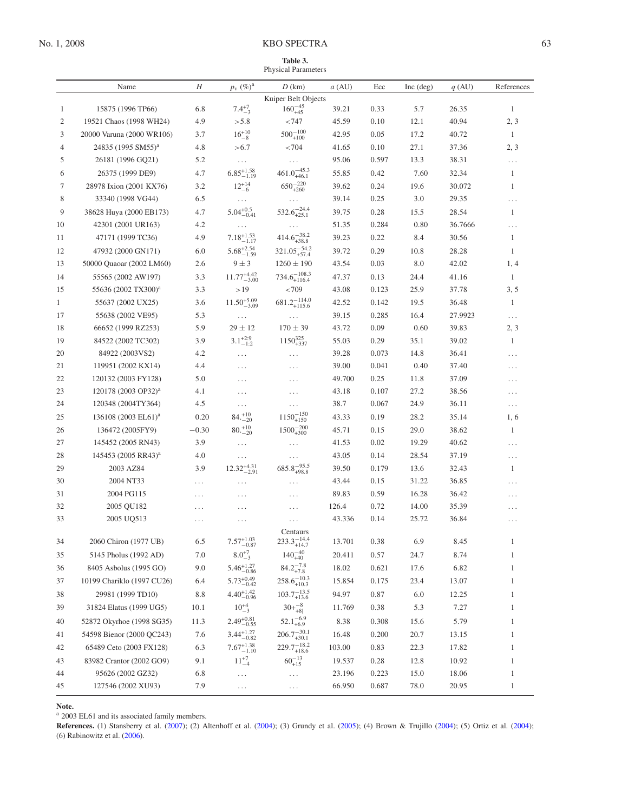## No. 1, 2008 KBO SPECTRA 63

<span id="page-8-0"></span>

|                | Name                            | Н        | $p_v~(\%)^{\rm a}$      | D(km)                     | $a$ (AU) | Ecc   | $Inc$ (deg) | q(AU)   | References   |
|----------------|---------------------------------|----------|-------------------------|---------------------------|----------|-------|-------------|---------|--------------|
|                |                                 |          |                         | Kuiper Belt Objects       |          |       |             |         |              |
| 1              | 15875 (1996 TP66)               | 6.8      | $7.4^{+7}_{-3}$         | $160_{+45}^{-45}$         | 39.21    | 0.33  | 5.7         | 26.35   | $\mathbf{1}$ |
| 2              | 19521 Chaos (1998 WH24)         | 4.9      | > 5.8                   | < 747                     | 45.59    | 0.10  | 12.1        | 40.94   | 2, 3         |
| 3              | 20000 Varuna (2000 WR106)       | 3.7      | $16^{+10}_{-8}$         | $500^{-100}_{+100}$       | 42.95    | 0.05  | 17.2        | 40.72   | 1            |
| $\overline{4}$ | 24835 (1995 SM55) <sup>a</sup>  | 4.8      | > 6.7                   | < 704                     | 41.65    | 0.10  | 27.1        | 37.36   | 2, 3         |
| 5              | 26181 (1996 GQ21)               | 5.2      | $\ldots$                | $\ldots$                  | 95.06    | 0.597 | 13.3        | 38.31   | $\ldots$     |
| 6              | 26375 (1999 DE9)                | 4.7      | $6.85^{+1.58}_{-1.19}$  | $461.0_{+46.1}^{-45.3}$   | 55.85    | 0.42  | 7.60        | 32.34   | $\mathbf{1}$ |
| 7              | 28978 Ixion (2001 KX76)         | 3.2      | $12^{+14}_{-6}$         | $650^{-220}_{+260}$       | 39.62    | 0.24  | 19.6        | 30.072  | 1            |
| 8              | 33340 (1998 VG44)               | 6.5      | $\cdots$                |                           | 39.14    | 0.25  | 3.0         | 29.35   | .            |
| 9              | 38628 Huya (2000 EB173)         | 4.7      | $5.04_{-0.41}^{+0.5}$   | $532.6_{+25.1}^{-24.4}$   | 39.75    | 0.28  | 15.5        | 28.54   | $\mathbf{1}$ |
| 10             | 42301 (2001 UR163)              | 4.2      | $\ldots$                |                           | 51.35    | 0.284 | 0.80        | 36.7666 | .            |
| 11             | 47171 (1999 TC36)               | 4.9      | $7.18_{-1.17}^{+1.53}$  | $414.6_{+38.8}^{-38.2}$   | 39.23    | 0.22  | 8.4         | 30.56   | $\mathbf{1}$ |
| 12             | 47932 (2000 GN171)              | 6.0      | $5.68^{+2.54}_{-1.59}$  | $321.05_{+57.4}^{-54.2}$  | 39.72    | 0.29  | 10.8        | 28.28   | 1            |
| 13             | 50000 Quaoar (2002 LM60)        | 2.6      | $9 \pm 3$               | $1260 \pm 190$            | 43.54    | 0.03  | 8.0         | 42.02   | 1, 4         |
| 14             | 55565 (2002 AW197)              | 3.3      | $11.77^{+4.42}_{-3.00}$ | $734.6_{+116.4}^{-108.3}$ | 47.37    | 0.13  | 24.4        | 41.16   | $\mathbf{1}$ |
| 15             | 55636 (2002 TX300) <sup>a</sup> | 3.3      | >19                     | < 709                     | 43.08    | 0.123 | 25.9        | 37.78   | 3, 5         |
| $\mathbf{1}$   | 55637 (2002 UX25)               | 3.6      | $11.50^{+5.09}_{-3.09}$ | $681.2^{-114.0}_{+115.6}$ | 42.52    | 0.142 | 19.5        | 36.48   | $\mathbf{1}$ |
| 17             | 55638 (2002 VE95)               | 5.3      | $\cdots$                | $\ldots$                  | 39.15    | 0.285 | 16.4        | 27.9923 | $\ldots$     |
| 18             | 66652 (1999 RZ253)              | 5.9      | $29 \pm 12$             | $170 \pm 39$              | 43.72    | 0.09  | 0.60        | 39.83   | 2, 3         |
| 19             | 84522 (2002 TC302)              | 3.9      | $3.1^{+2.9}_{-1.2}$     | $1150_{+337}^{325}$       | 55.03    | 0.29  | 35.1        | 39.02   | $\mathbf{1}$ |
| 20             | 84922 (2003VS2)                 | 4.2      | $\ldots$                | $\ldots$                  | 39.28    | 0.073 | 14.8        | 36.41   | .            |
| 21             | 119951 (2002 KX14)              | 4.4      | .                       | $\ldots$                  | 39.00    | 0.041 | 0.40        | 37.40   | .            |
| 22             | 120132 (2003 FY128)             | 5.0      | .                       | .                         | 49.700   | 0.25  | 11.8        | 37.09   | .            |
| 23             | 120178 (2003 OP32) <sup>a</sup> | 4.1      | .                       | $\cdots$                  | 43.18    | 0.107 | 27.2        | 38.56   | .            |
| 24             | 120348 (2004TY364)              | 4.5      | .                       | $\cdots$                  | 38.7     | 0.067 | 24.9        | 36.11   | $\ldots$     |
| 25             | 136108 (2003 EL61) <sup>a</sup> | 0.20     | $84.^{+10}_{-20}$       | $1150^{-150}_{+150}$      | 43.33    | 0.19  | 28.2        | 35.14   | 1, 6         |
| 26             | 136472 (2005FY9)                | $-0.30$  | $80.-20+10$             | $1500_{+300}^{-200}$      | 45.71    | 0.15  | 29.0        | 38.62   | $\mathbf{1}$ |
| 27             | 145452 (2005 RN43)              | 3.9      | $\ldots$                | $\cdots$                  | 41.53    | 0.02  | 19.29       | 40.62   | .            |
| 28             | 145453 (2005 RR43) <sup>a</sup> | 4.0      | .                       | .                         | 43.05    | 0.14  | 28.54       | 37.19   | .            |
| 29             | 2003 AZ84                       | 3.9      | $12.32_{-2.91}^{+4.31}$ | $685.8_{+98.8}^{-95.5}$   | 39.50    | 0.179 | 13.6        | 32.43   | $\mathbf{1}$ |
| 30             | 2004 NT33                       | .        | .                       | .                         | 43.44    | 0.15  | 31.22       | 36.85   | .            |
| 31             | 2004 PG115                      | .        | .                       | .                         | 89.83    | 0.59  | 16.28       | 36.42   | .            |
| 32             | 2005 QU182                      | .        | .                       | .                         | 126.4    | 0.72  | 14.00       | 35.39   | .            |
| 33             | 2005 UQ513                      | $\cdots$ | .                       | .                         | 43.336   | 0.14  | 25.72       | 36.84   | .            |
|                |                                 |          |                         | Centaurs                  |          |       |             |         |              |
| 34             | 2060 Chiron (1977 UB)           | 6.5      | $7.57^{+1.03}_{-0.87}$  | $233.3^{-14.4}_{+14.7}$   | 13.701   | 0.38  | 6.9         | 8.45    | 1            |
| 35             | 5145 Pholus (1992 AD)           | 7.0      | $8.0^{+7}_{-3}$         | $140^{-40}_{+40}$         | 20.411   | 0.57  | 24.7        | 8.74    | $\mathbf{1}$ |
| 36             | 8405 Asbolus (1995 GO)          | 9.0      | $5.46^{+1.27}_{-0.86}$  | $84.2_{+7.8}^{-7.8}$      | 18.02    | 0.621 | 17.6        | 6.82    | 1            |
| 37             | 10199 Chariklo (1997 CU26)      | 6.4      | $5.73_{-0.42}^{+0.49}$  | $258.6^{-10.3}_{+10.3}$   | 15.854   | 0.175 | 23.4        | 13.07   | 1            |
| 38             | 29981 (1999 TD10)               | 8.8      | $4.40_{-0.96}^{+1.42}$  | $103.7_{+13.6}^{-13.5}\,$ | 94.97    | 0.87  | 6.0         | 12.25   | 1            |
| 39             | 31824 Elatus (1999 UG5)         | 10.1     | $10^{+4}_{-3}$          | $30 + \frac{-8}{+8}$      | 11.769   | 0.38  | 5.3         | 7.27    | 1            |
| 40             | 52872 Okyrhoe (1998 SG35)       | 11.3     | $2.49_{-0.55}^{+0.81}$  | $52.1_{+6.9}^{-6.9}$      | 8.38     | 0.308 | 15.6        | 5.79    | 1            |
| 41             | 54598 Bienor (2000 QC243)       | 7.6      | $3.44^{+1.27}_{-0.82}$  | $206.7_{+30.1}^{-30.1}$   | 16.48    | 0.200 | 20.7        | 13.15   | 1            |
| 42             | 65489 Ceto (2003 FX128)         | 6.3      | $7.67^{+1.38}_{-1.10}$  | $229.7_{+18.6}^{-18.2}$   | 103.00   | 0.83  | 22.3        | 17.82   | 1            |
| 43             | 83982 Crantor (2002 GO9)        | 9.1      | $11^{+7}_{-4}$          | $60^{-13}_{+15}$          | 19.537   | 0.28  | 12.8        | 10.92   | 1            |
| 44             | 95626 (2002 GZ32)               | 6.8      | .                       | $\cdots$                  | 23.196   | 0.223 | 15.0        | 18.06   | 1            |
| 45             | 127546 (2002 XU93)              | 7.9      | $\cdots$                | $\ldots$                  | 66.950   | 0.687 | 78.0        | 20.95   | $\mathbf{1}$ |

**Note.**

<sup>a</sup> 2003 EL61 and its associated family members.

**References.** (1) Stansberry et al. [\(2007\)](#page-12-8); (2) Altenhoff et al. [\(2004\)](#page-12-48); (3) Grundy et al. [\(2005\)](#page-12-49); (4) Brown & Trujillo [\(2004\)](#page-12-50); (5) Ortiz et al. [\(2004\)](#page-12-51); (6) Rabinowitz et al. [\(2006\)](#page-12-34).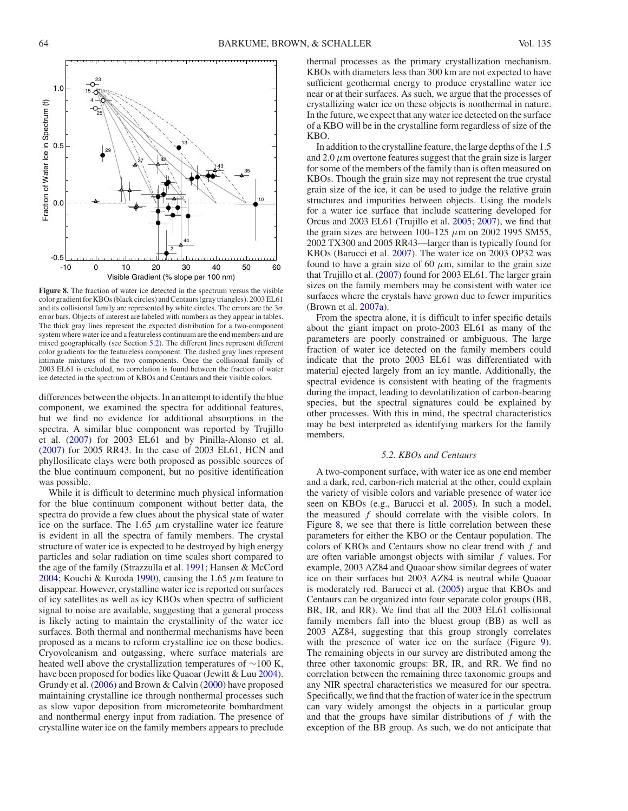

<span id="page-9-1"></span>**Figure 8.** The fraction of water ice detected in the spectrum versus the visible color gradient for KBOs (black circles) and Centaurs (gray triangles). 2003 EL61 and its collisional family are represented by white circles. The errors are the 3*σ* error bars. Objects of interest are labeled with numbers as they appear in tables. The thick gray lines represent the expected distribution for a two-component system where water ice and a featureless continuum are the end members and are mixed geographically (see Section [5.2\)](#page-9-0). The different lines represent different color gradients for the featureless component. The dashed gray lines represent intimate mixtures of the two components. Once the collisional family of 2003 EL61 is excluded, no correlation is found between the fraction of water ice detected in the spectrum of KBOs and Centaurs and their visible colors.

differences between the objects. In an attempt to identify the blue component, we examined the spectra for additional features, but we find no evidence for additional absorptions in the spectra. A similar blue component was reported by Trujillo et al. [\(2007\)](#page-12-35) for 2003 EL61 and by Pinilla-Alonso et al. [\(2007\)](#page-12-37) for 2005 RR43. In the case of 2003 EL61, HCN and phyllosilicate clays were both proposed as possible sources of the blue continuum component, but no positive identification was possible.

While it is difficult to determine much physical information for the blue continuum component without better data, the spectra do provide a few clues about the physical state of water ice on the surface. The  $1.65 \mu m$  crystalline water ice feature is evident in all the spectra of family members. The crystal structure of water ice is expected to be destroyed by high energy particles and solar radiation on time scales short compared to the age of the family (Strazzulla et al. [1991;](#page-12-46) Hansen & McCord [2004;](#page-12-47) Kouchi & Kuroda [1990\)](#page-12-52), causing the 1.65 *µ*m feature to disappear. However, crystalline water ice is reported on surfaces of icy satellites as well as icy KBOs when spectra of sufficient signal to noise are available, suggesting that a general process is likely acting to maintain the crystallinity of the water ice surfaces. Both thermal and nonthermal mechanisms have been proposed as a means to reform crystalline ice on these bodies. Cryovolcanism and outgassing, where surface materials are heated well above the crystallization temperatures of ∼100 K, have been proposed for bodies like Quaoar (Jewitt & Luu [2004\)](#page-12-17). Grundy et al. [\(2006\)](#page-12-53) and Brown & Calvin [\(2000\)](#page-12-16) have proposed maintaining crystalline ice through nonthermal processes such as slow vapor deposition from micrometeorite bombardment and nonthermal energy input from radiation. The presence of crystalline water ice on the family members appears to preclude

thermal processes as the primary crystallization mechanism. KBOs with diameters less than 300 km are not expected to have sufficient geothermal energy to produce crystalline water ice near or at their surfaces. As such, we argue that the processes of crystallizing water ice on these objects is nonthermal in nature. In the future, we expect that any water ice detected on the surface of a KBO will be in the crystalline form regardless of size of the KBO.

In addition to the crystalline feature, the large depths of the 1.5 and  $2.0 \mu$ m overtone features suggest that the grain size is larger for some of the members of the family than is often measured on KBOs. Though the grain size may not represent the true crystal grain size of the ice, it can be used to judge the relative grain structures and impurities between objects. Using the models for a water ice surface that include scattering developed for Orcus and 2003 EL61 (Trujillo et al. [2005;](#page-12-54) [2007\)](#page-12-35), we find that the grain sizes are between  $100-125 \mu m$  on 2002 1995 SM55, 2002 TX300 and 2005 RR43—larger than is typically found for KBOs (Barucci et al. [2007\)](#page-12-0). The water ice on 2003 OP32 was found to have a grain size of 60  $\mu$ m, similar to the grain size that Trujillo et al. [\(2007\)](#page-12-35) found for 2003 EL61. The larger grain sizes on the family members may be consistent with water ice surfaces where the crystals have grown due to fewer impurities (Brown et al. [2007a\)](#page-12-11).

From the spectra alone, it is difficult to infer specific details about the giant impact on proto-2003 EL61 as many of the parameters are poorly constrained or ambiguous. The large fraction of water ice detected on the family members could indicate that the proto 2003 EL61 was differentiated with material ejected largely from an icy mantle. Additionally, the spectral evidence is consistent with heating of the fragments during the impact, leading to devolatilization of carbon-bearing species, but the spectral signatures could be explained by other processes. With this in mind, the spectral characteristics may be best interpreted as identifying markers for the family members.

### *5.2. KBOs and Centaurs*

<span id="page-9-0"></span>A two-component surface, with water ice as one end member and a dark, red, carbon-rich material at the other, could explain the variety of visible colors and variable presence of water ice seen on KBOs (e.g., Barucci et al. [2005\)](#page-12-6). In such a model, the measured *f* should correlate with the visible colors. In Figure [8,](#page-9-1) we see that there is little correlation between these parameters for either the KBO or the Centaur population. The colors of KBOs and Centaurs show no clear trend with *f* and are often variable amongst objects with similar *f* values. For example, 2003 AZ84 and Quaoar show similar degrees of water ice on their surfaces but 2003 AZ84 is neutral while Quaoar is moderately red. Barucci et al. [\(2005\)](#page-12-6) argue that KBOs and Centaurs can be organized into four separate color groups (BB, BR, IR, and RR). We find that all the 2003 EL61 collisional family members fall into the bluest group (BB) as well as 2003 AZ84, suggesting that this group strongly correlates with the presence of water ice on the surface (Figure [9\)](#page-10-0). The remaining objects in our survey are distributed among the three other taxonomic groups: BR, IR, and RR. We find no correlation between the remaining three taxonomic groups and any NIR spectral characteristics we measured for our spectra. Specifically, we find that the fraction of water ice in the spectrum can vary widely amongst the objects in a particular group and that the groups have similar distributions of *f* with the exception of the BB group. As such, we do not anticipate that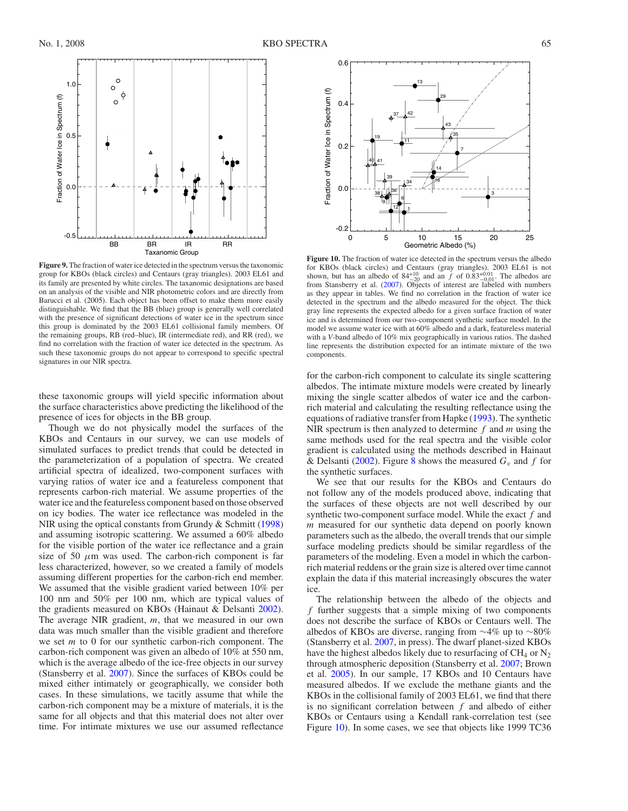

<span id="page-10-0"></span>**Figure 9.** The fraction of water ice detected in the spectrum versus the taxonomic group for KBOs (black circles) and Centaurs (gray triangles). 2003 EL61 and its family are presented by white circles. The taxanomic designations are based on an analysis of the visible and NIR photometric colors and are directly from Barucci et al. (2005). Each object has been offset to make them more easily distinguishable. We find that the BB (blue) group is generally well correlated with the presence of significant detections of water ice in the spectrum since this group is dominated by the 2003 EL61 collisional family members. Of the remaining groups, RB (red–blue), IR (intermediate red), and RR (red), we find no correlation with the fraction of water ice detected in the spectrum. As such these taxonomic groups do not appear to correspond to specific spectral signatures in our NIR spectra.

these taxonomic groups will yield specific information about the surface characteristics above predicting the likelihood of the presence of ices for objects in the BB group.

Though we do not physically model the surfaces of the KBOs and Centaurs in our survey, we can use models of simulated surfaces to predict trends that could be detected in the parameterization of a population of spectra. We created artificial spectra of idealized, two-component surfaces with varying ratios of water ice and a featureless component that represents carbon-rich material. We assume properties of the water ice and the featureless component based on those observed on icy bodies. The water ice reflectance was modeled in the NIR using the optical constants from Grundy & Schmitt [\(1998\)](#page-12-13) and assuming isotropic scattering. We assumed a 60% albedo for the visible portion of the water ice reflectance and a grain size of 50  $\mu$ m was used. The carbon-rich component is far less characterized, however, so we created a family of models assuming different properties for the carbon-rich end member. We assumed that the visible gradient varied between 10% per 100 nm and 50% per 100 nm, which are typical values of the gradients measured on KBOs (Hainaut & Delsanti [2002\)](#page-12-15). The average NIR gradient, *m*, that we measured in our own data was much smaller than the visible gradient and therefore we set *m* to 0 for our synthetic carbon-rich component. The carbon-rich component was given an albedo of 10% at 550 nm, which is the average albedo of the ice-free objects in our survey (Stansberry et al. [2007\)](#page-12-8). Since the surfaces of KBOs could be mixed either intimately or geographically, we consider both cases. In these simulations, we tacitly assume that while the carbon-rich component may be a mixture of materials, it is the same for all objects and that this material does not alter over time. For intimate mixtures we use our assumed reflectance



<span id="page-10-1"></span>**Figure 10.** The fraction of water ice detected in the spectrum versus the albedo for KBOs (black circles) and Centaurs (gray triangles). 2003 EL61 is not have not but has an albedo of 84<sup>+10</sup> and an *f* of 0.83<sup>+0.01</sup>. The albedos are from Stansberry et al. [\(2007\)](#page-12-8). Objects of interest are labeled with numbers as they appear in tables. We find no correlation in the fraction of water ice detected in the spectrum and the albedo measured for the object. The thick gray line represents the expected albedo for a given surface fraction of water ice and is determined from our two-component synthetic surface model. In the model we assume water ice with at 60% albedo and a dark, featureless material with a *V*-band albedo of 10% mix geographically in various ratios. The dashed line represents the distribution expected for an intimate mixture of the two components.

for the carbon-rich component to calculate its single scattering albedos. The intimate mixture models were created by linearly mixing the single scatter albedos of water ice and the carbonrich material and calculating the resulting reflectance using the equations of radiative transfer from Hapke [\(1993\)](#page-12-12). The synthetic NIR spectrum is then analyzed to determine *f* and *m* using the same methods used for the real spectra and the visible color gradient is calculated using the methods described in Hainaut & Delsanti [\(2002\)](#page-12-15). Figure [8](#page-9-1) shows the measured  $G_v$  and f for the synthetic surfaces.

We see that our results for the KBOs and Centaurs do not follow any of the models produced above, indicating that the surfaces of these objects are not well described by our synthetic two-component surface model. While the exact *f* and *m* measured for our synthetic data depend on poorly known parameters such as the albedo, the overall trends that our simple surface modeling predicts should be similar regardless of the parameters of the modeling. Even a model in which the carbonrich material reddens or the grain size is altered over time cannot explain the data if this material increasingly obscures the water ice.

The relationship between the albedo of the objects and *f* further suggests that a simple mixing of two components does not describe the surface of KBOs or Centaurs well. The albedos of KBOs are diverse, ranging from ∼4% up to ∼80% (Stansberry et al. [2007,](#page-12-8) in press). The dwarf planet-sized KBOs have the highest albedos likely due to resurfacing of  $CH_4$  or  $N_2$ through atmospheric deposition (Stansberry et al. [2007;](#page-12-8) Brown et al. [2005\)](#page-12-55). In our sample, 17 KBOs and 10 Centaurs have measured albedos. If we exclude the methane giants and the KBOs in the collisional family of 2003 EL61, we find that there is no significant correlation between *f* and albedo of either KBOs or Centaurs using a Kendall rank-correlation test (see Figure [10\)](#page-10-1). In some cases, we see that objects like 1999 TC36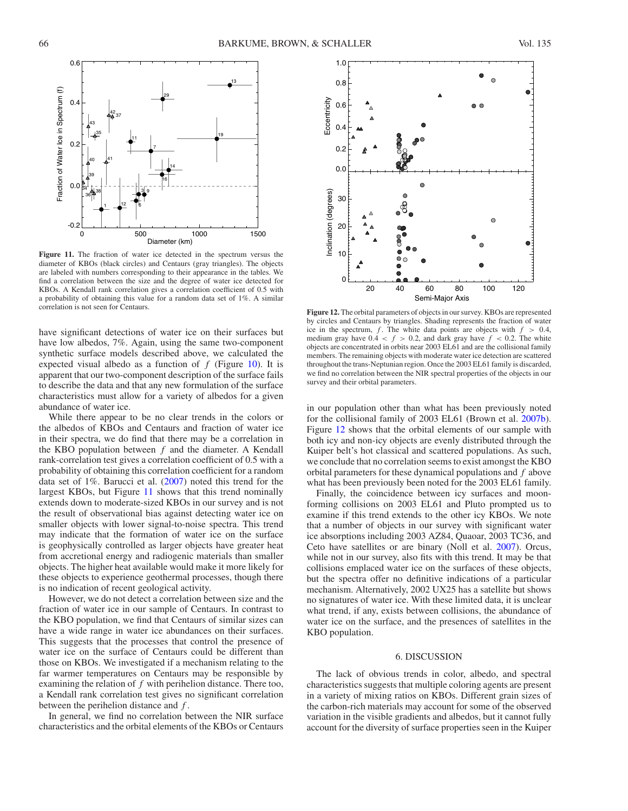

<span id="page-11-1"></span>**Figure 11.** The fraction of water ice detected in the spectrum versus the diameter of KBOs (black circles) and Centaurs (gray triangles). The objects are labeled with numbers corresponding to their appearance in the tables. We find a correlation between the size and the degree of water ice detected for KBOs. A Kendall rank correlation gives a correlation coefficient of 0.5 with a probability of obtaining this value for a random data set of 1%. A similar correlation is not seen for Centaurs.

have significant detections of water ice on their surfaces but have low albedos, 7%. Again, using the same two-component synthetic surface models described above, we calculated the expected visual albedo as a function of *f* (Figure [10\)](#page-10-1). It is apparent that our two-component description of the surface fails to describe the data and that any new formulation of the surface characteristics must allow for a variety of albedos for a given abundance of water ice.

While there appear to be no clear trends in the colors or the albedos of KBOs and Centaurs and fraction of water ice in their spectra, we do find that there may be a correlation in the KBO population between *f* and the diameter. A Kendall rank-correlation test gives a correlation coefficient of 0.5 with a probability of obtaining this correlation coefficient for a random data set of 1%. Barucci et al. [\(2007\)](#page-12-0) noted this trend for the largest KBOs, but Figure [11](#page-11-1) shows that this trend nominally extends down to moderate-sized KBOs in our survey and is not the result of observational bias against detecting water ice on smaller objects with lower signal-to-noise spectra. This trend may indicate that the formation of water ice on the surface is geophysically controlled as larger objects have greater heat from accretional energy and radiogenic materials than smaller objects. The higher heat available would make it more likely for these objects to experience geothermal processes, though there is no indication of recent geological activity.

However, we do not detect a correlation between size and the fraction of water ice in our sample of Centaurs. In contrast to the KBO population, we find that Centaurs of similar sizes can have a wide range in water ice abundances on their surfaces. This suggests that the processes that control the presence of water ice on the surface of Centaurs could be different than those on KBOs. We investigated if a mechanism relating to the far warmer temperatures on Centaurs may be responsible by examining the relation of *f* with perihelion distance. There too, a Kendall rank correlation test gives no significant correlation between the perihelion distance and *f* .

In general, we find no correlation between the NIR surface characteristics and the orbital elements of the KBOs or Centaurs



<span id="page-11-2"></span>**Figure 12.** The orbital parameters of objects in our survey. KBOs are represented by circles and Centaurs by triangles. Shading represents the fraction of water ice in the spectrum,  $f$ . The white data points are objects with  $f > 0.4$ , medium gray have  $0.4 < f > 0.2$ , and dark gray have  $f < 0.2$ . The white objects are concentrated in orbits near 2003 EL61 and are the collisional family members. The remaining objects with moderate water ice detection are scattered throughout the trans-Neptunian region. Once the 2003 EL61 family is discarded, we find no correlation between the NIR spectral properties of the objects in our survey and their orbital parameters.

in our population other than what has been previously noted for the collisional family of 2003 EL61 (Brown et al. [2007b\)](#page-12-2). Figure [12](#page-11-2) shows that the orbital elements of our sample with both icy and non-icy objects are evenly distributed through the Kuiper belt's hot classical and scattered populations. As such, we conclude that no correlation seems to exist amongst the KBO orbital parameters for these dynamical populations and *f* above what has been previously been noted for the 2003 EL61 family.

Finally, the coincidence between icy surfaces and moonforming collisions on 2003 EL61 and Pluto prompted us to examine if this trend extends to the other icy KBOs. We note that a number of objects in our survey with significant water ice absorptions including 2003 AZ84, Quaoar, 2003 TC36, and Ceto have satellites or are binary (Noll et al. [2007\)](#page-12-56). Orcus, while not in our survey, also fits with this trend. It may be that collisions emplaced water ice on the surfaces of these objects, but the spectra offer no definitive indications of a particular mechanism. Alternatively, 2002 UX25 has a satellite but shows no signatures of water ice. With these limited data, it is unclear what trend, if any, exists between collisions, the abundance of water ice on the surface, and the presences of satellites in the KBO population.

#### 6. DISCUSSION

<span id="page-11-0"></span>The lack of obvious trends in color, albedo, and spectral characteristics suggests that multiple coloring agents are present in a variety of mixing ratios on KBOs. Different grain sizes of the carbon-rich materials may account for some of the observed variation in the visible gradients and albedos, but it cannot fully account for the diversity of surface properties seen in the Kuiper